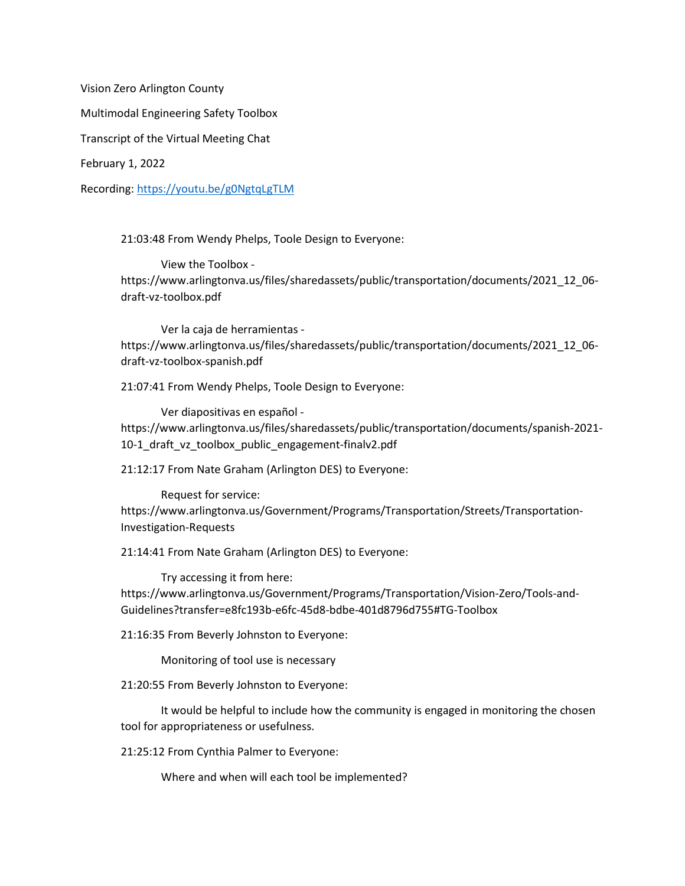Vision Zero Arlington County

Multimodal Engineering Safety Toolbox

Transcript of the Virtual Meeting Chat

February 1, 2022

Recording:<https://youtu.be/g0NgtqLgTLM>

21:03:48 From Wendy Phelps, Toole Design to Everyone:

View the Toolbox https://www.arlingtonva.us/files/sharedassets/public/transportation/documents/2021\_12\_06 draft-vz-toolbox.pdf

Ver la caja de herramientas https://www.arlingtonva.us/files/sharedassets/public/transportation/documents/2021\_12\_06 draft-vz-toolbox-spanish.pdf

21:07:41 From Wendy Phelps, Toole Design to Everyone:

Ver diapositivas en español https://www.arlingtonva.us/files/sharedassets/public/transportation/documents/spanish-2021- 10-1 draft vz toolbox public engagement-finalv2.pdf

21:12:17 From Nate Graham (Arlington DES) to Everyone:

Request for service: https://www.arlingtonva.us/Government/Programs/Transportation/Streets/Transportation-Investigation-Requests

21:14:41 From Nate Graham (Arlington DES) to Everyone:

Try accessing it from here: https://www.arlingtonva.us/Government/Programs/Transportation/Vision-Zero/Tools-and-Guidelines?transfer=e8fc193b-e6fc-45d8-bdbe-401d8796d755#TG-Toolbox

21:16:35 From Beverly Johnston to Everyone:

Monitoring of tool use is necessary

21:20:55 From Beverly Johnston to Everyone:

It would be helpful to include how the community is engaged in monitoring the chosen tool for appropriateness or usefulness.

21:25:12 From Cynthia Palmer to Everyone:

Where and when will each tool be implemented?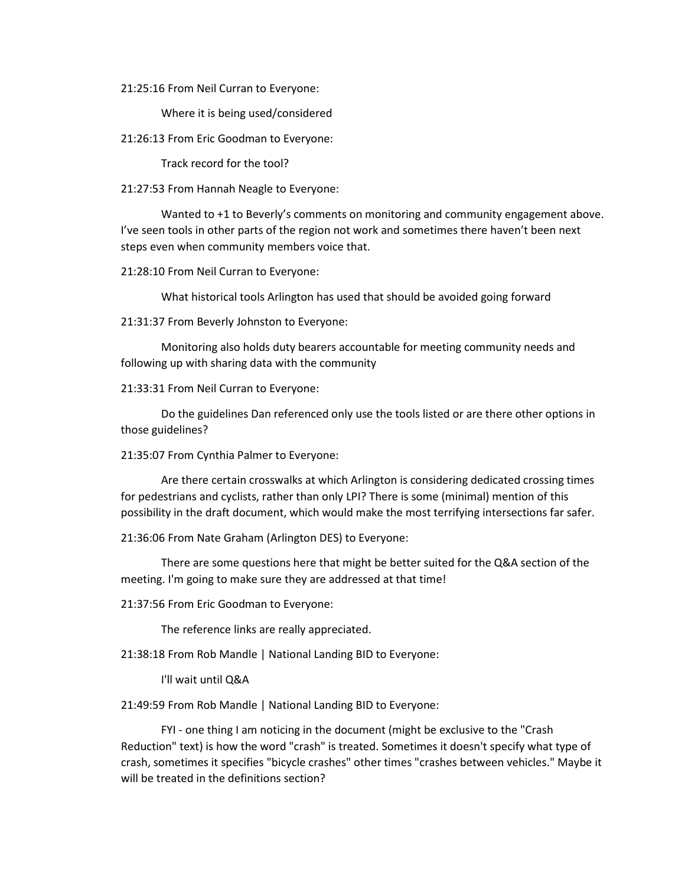21:25:16 From Neil Curran to Everyone:

Where it is being used/considered

21:26:13 From Eric Goodman to Everyone:

Track record for the tool?

21:27:53 From Hannah Neagle to Everyone:

Wanted to +1 to Beverly's comments on monitoring and community engagement above. I've seen tools in other parts of the region not work and sometimes there haven't been next steps even when community members voice that.

21:28:10 From Neil Curran to Everyone:

What historical tools Arlington has used that should be avoided going forward

21:31:37 From Beverly Johnston to Everyone:

Monitoring also holds duty bearers accountable for meeting community needs and following up with sharing data with the community

21:33:31 From Neil Curran to Everyone:

Do the guidelines Dan referenced only use the tools listed or are there other options in those guidelines?

21:35:07 From Cynthia Palmer to Everyone:

Are there certain crosswalks at which Arlington is considering dedicated crossing times for pedestrians and cyclists, rather than only LPI? There is some (minimal) mention of this possibility in the draft document, which would make the most terrifying intersections far safer.

21:36:06 From Nate Graham (Arlington DES) to Everyone:

There are some questions here that might be better suited for the Q&A section of the meeting. I'm going to make sure they are addressed at that time!

21:37:56 From Eric Goodman to Everyone:

The reference links are really appreciated.

21:38:18 From Rob Mandle | National Landing BID to Everyone:

I'll wait until Q&A

21:49:59 From Rob Mandle | National Landing BID to Everyone:

FYI - one thing I am noticing in the document (might be exclusive to the "Crash Reduction" text) is how the word "crash" is treated. Sometimes it doesn't specify what type of crash, sometimes it specifies "bicycle crashes" other times "crashes between vehicles." Maybe it will be treated in the definitions section?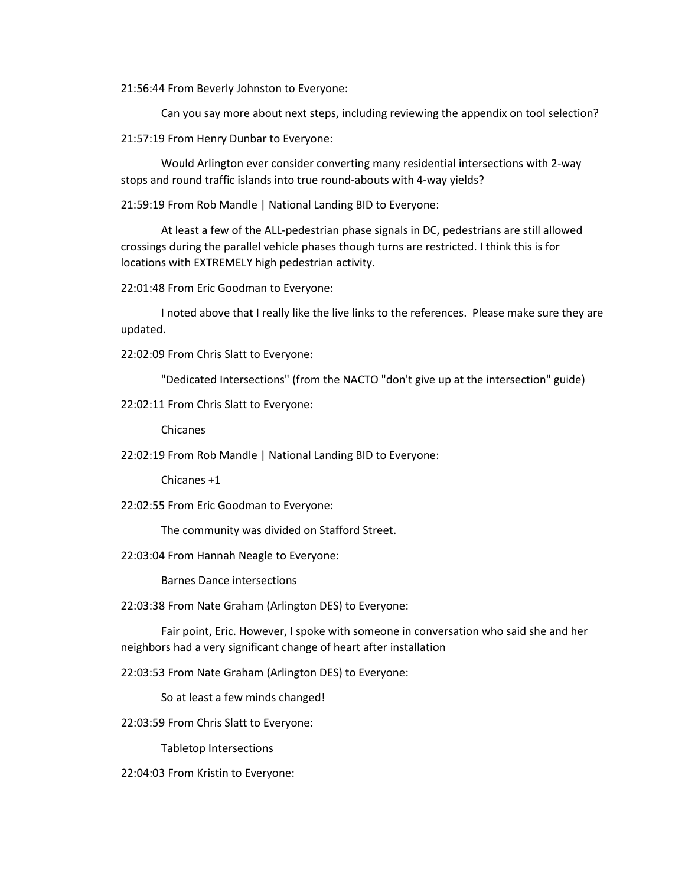21:56:44 From Beverly Johnston to Everyone:

Can you say more about next steps, including reviewing the appendix on tool selection?

21:57:19 From Henry Dunbar to Everyone:

Would Arlington ever consider converting many residential intersections with 2-way stops and round traffic islands into true round-abouts with 4-way yields?

21:59:19 From Rob Mandle | National Landing BID to Everyone:

At least a few of the ALL-pedestrian phase signals in DC, pedestrians are still allowed crossings during the parallel vehicle phases though turns are restricted. I think this is for locations with EXTREMELY high pedestrian activity.

22:01:48 From Eric Goodman to Everyone:

I noted above that I really like the live links to the references. Please make sure they are updated.

22:02:09 From Chris Slatt to Everyone:

"Dedicated Intersections" (from the NACTO "don't give up at the intersection" guide)

22:02:11 From Chris Slatt to Everyone:

Chicanes

22:02:19 From Rob Mandle | National Landing BID to Everyone:

Chicanes +1

22:02:55 From Eric Goodman to Everyone:

The community was divided on Stafford Street.

22:03:04 From Hannah Neagle to Everyone:

Barnes Dance intersections

22:03:38 From Nate Graham (Arlington DES) to Everyone:

Fair point, Eric. However, I spoke with someone in conversation who said she and her neighbors had a very significant change of heart after installation

22:03:53 From Nate Graham (Arlington DES) to Everyone:

So at least a few minds changed!

22:03:59 From Chris Slatt to Everyone:

Tabletop Intersections

22:04:03 From Kristin to Everyone: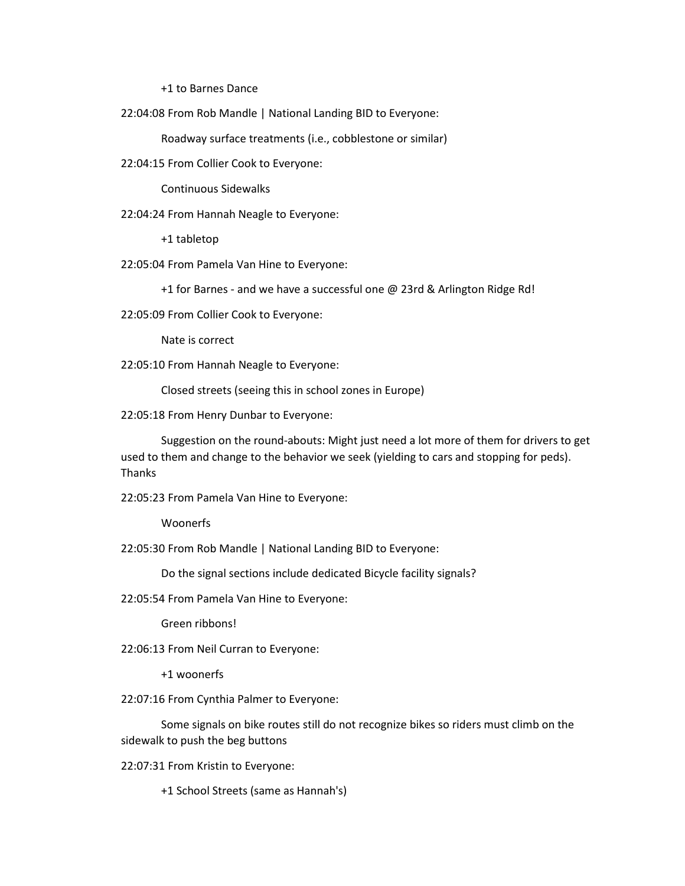+1 to Barnes Dance

22:04:08 From Rob Mandle | National Landing BID to Everyone:

Roadway surface treatments (i.e., cobblestone or similar)

22:04:15 From Collier Cook to Everyone:

Continuous Sidewalks

22:04:24 From Hannah Neagle to Everyone:

+1 tabletop

22:05:04 From Pamela Van Hine to Everyone:

+1 for Barnes - and we have a successful one @ 23rd & Arlington Ridge Rd!

22:05:09 From Collier Cook to Everyone:

Nate is correct

22:05:10 From Hannah Neagle to Everyone:

Closed streets (seeing this in school zones in Europe)

22:05:18 From Henry Dunbar to Everyone:

Suggestion on the round-abouts: Might just need a lot more of them for drivers to get used to them and change to the behavior we seek (yielding to cars and stopping for peds). Thanks

22:05:23 From Pamela Van Hine to Everyone:

Woonerfs

22:05:30 From Rob Mandle | National Landing BID to Everyone:

Do the signal sections include dedicated Bicycle facility signals?

22:05:54 From Pamela Van Hine to Everyone:

Green ribbons!

22:06:13 From Neil Curran to Everyone:

+1 woonerfs

22:07:16 From Cynthia Palmer to Everyone:

Some signals on bike routes still do not recognize bikes so riders must climb on the sidewalk to push the beg buttons

22:07:31 From Kristin to Everyone:

+1 School Streets (same as Hannah's)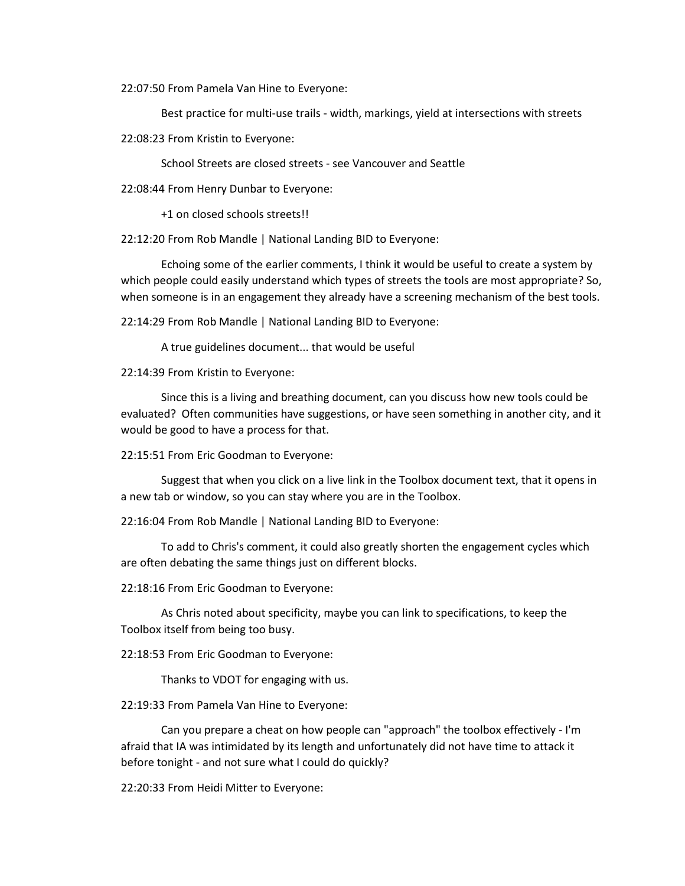22:07:50 From Pamela Van Hine to Everyone:

Best practice for multi-use trails - width, markings, yield at intersections with streets

22:08:23 From Kristin to Everyone:

School Streets are closed streets - see Vancouver and Seattle

22:08:44 From Henry Dunbar to Everyone:

+1 on closed schools streets!!

22:12:20 From Rob Mandle | National Landing BID to Everyone:

Echoing some of the earlier comments, I think it would be useful to create a system by which people could easily understand which types of streets the tools are most appropriate? So, when someone is in an engagement they already have a screening mechanism of the best tools.

22:14:29 From Rob Mandle | National Landing BID to Everyone:

A true guidelines document... that would be useful

22:14:39 From Kristin to Everyone:

Since this is a living and breathing document, can you discuss how new tools could be evaluated? Often communities have suggestions, or have seen something in another city, and it would be good to have a process for that.

22:15:51 From Eric Goodman to Everyone:

Suggest that when you click on a live link in the Toolbox document text, that it opens in a new tab or window, so you can stay where you are in the Toolbox.

22:16:04 From Rob Mandle | National Landing BID to Everyone:

To add to Chris's comment, it could also greatly shorten the engagement cycles which are often debating the same things just on different blocks.

22:18:16 From Eric Goodman to Everyone:

As Chris noted about specificity, maybe you can link to specifications, to keep the Toolbox itself from being too busy.

22:18:53 From Eric Goodman to Everyone:

Thanks to VDOT for engaging with us.

22:19:33 From Pamela Van Hine to Everyone:

Can you prepare a cheat on how people can "approach" the toolbox effectively - I'm afraid that IA was intimidated by its length and unfortunately did not have time to attack it before tonight - and not sure what I could do quickly?

22:20:33 From Heidi Mitter to Everyone: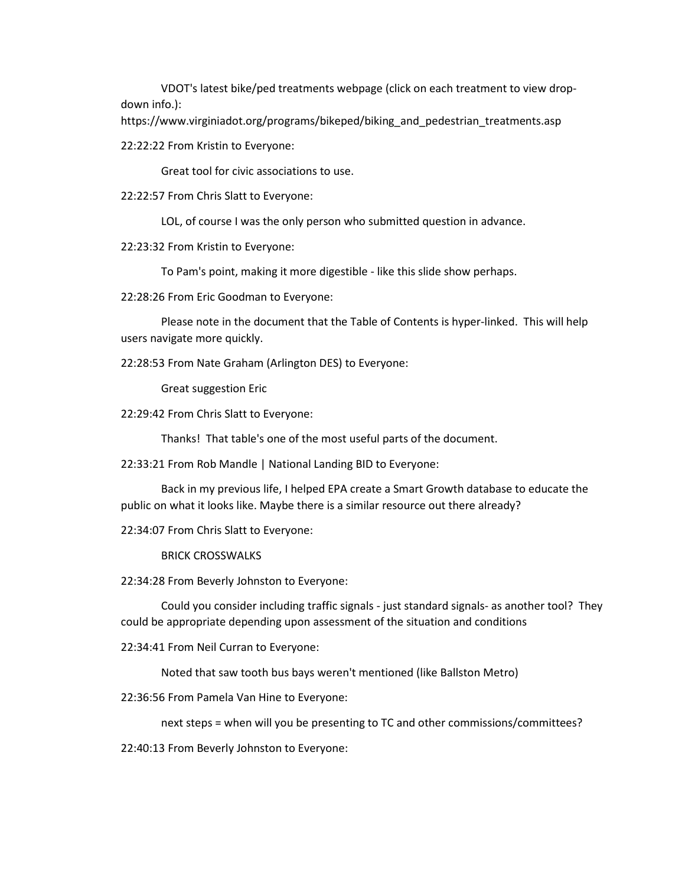VDOT's latest bike/ped treatments webpage (click on each treatment to view dropdown info.):

https://www.virginiadot.org/programs/bikeped/biking\_and\_pedestrian\_treatments.asp

22:22:22 From Kristin to Everyone:

Great tool for civic associations to use.

22:22:57 From Chris Slatt to Everyone:

LOL, of course I was the only person who submitted question in advance.

22:23:32 From Kristin to Everyone:

To Pam's point, making it more digestible - like this slide show perhaps.

22:28:26 From Eric Goodman to Everyone:

Please note in the document that the Table of Contents is hyper-linked. This will help users navigate more quickly.

22:28:53 From Nate Graham (Arlington DES) to Everyone:

Great suggestion Eric

22:29:42 From Chris Slatt to Everyone:

Thanks! That table's one of the most useful parts of the document.

22:33:21 From Rob Mandle | National Landing BID to Everyone:

Back in my previous life, I helped EPA create a Smart Growth database to educate the public on what it looks like. Maybe there is a similar resource out there already?

22:34:07 From Chris Slatt to Everyone:

BRICK CROSSWALKS

22:34:28 From Beverly Johnston to Everyone:

Could you consider including traffic signals - just standard signals- as another tool? They could be appropriate depending upon assessment of the situation and conditions

22:34:41 From Neil Curran to Everyone:

Noted that saw tooth bus bays weren't mentioned (like Ballston Metro)

22:36:56 From Pamela Van Hine to Everyone:

next steps = when will you be presenting to TC and other commissions/committees?

22:40:13 From Beverly Johnston to Everyone: